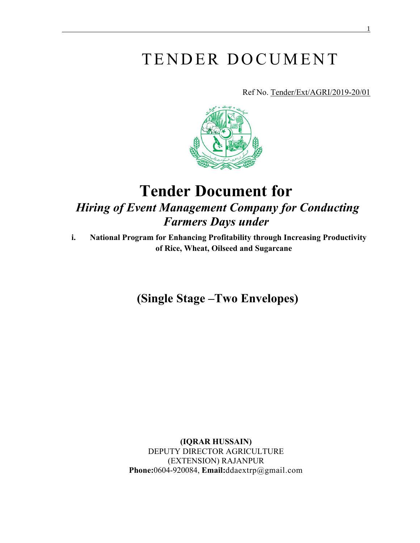# TENDER DOCUMENT

Ref No. Tender/Ext/AGRI/2019-20/01



## **Tender Document for**  *Hiring of Event Management Company for Conducting Farmers Days under*

**i. National Program for Enhancing Profitability through Increasing Productivity of Rice, Wheat, Oilseed and Sugarcane**

**(Single Stage –Two Envelopes)**

**(IQRAR HUSSAIN)** DEPUTY DIRECTOR AGRICULTURE (EXTENSION) RAJANPUR **Phone:**0604-920084, **Email:**ddaextrp@gmail.com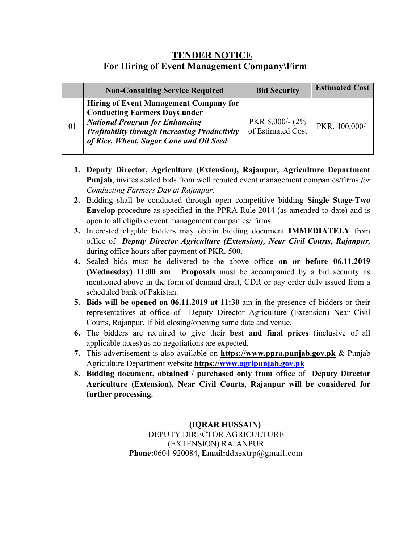### **TENDER NOTICE For Hiring of Event Management Company\Firm**

|    | <b>Non-Consulting Service Required</b>                                                                                                                                                                                            | <b>Bid Security</b>                  | <b>Estimated Cost</b> |
|----|-----------------------------------------------------------------------------------------------------------------------------------------------------------------------------------------------------------------------------------|--------------------------------------|-----------------------|
| 01 | <b>Hiring of Event Management Company for</b><br><b>Conducting Farmers Days under</b><br><b>National Program for Enhancing</b><br><b>Profitability through Increasing Productivity</b><br>of Rice, Wheat, Sugar Cane and Oil Seed | PKR.8,000/- (2%<br>of Estimated Cost | PKR. 400,000/-        |

- **1. Deputy Director, Agriculture (Extension), Rajanpur, Agriculture Department Punjab**, invites sealed bids from well reputed event management companies/firms *for Conducting Farmers Day at Rajanpur.*
- **2.** Bidding shall be conducted through open competitive bidding **Single Stage-Two Envelop** procedure as specified in the PPRA Rule 2014 (as amended to date) and is open to all eligible event management companies/ firms.
- **3.** Interested eligible bidders may obtain bidding document **IMMEDIATELY** from office of *Deputy Director Agriculture (Extension), Near Civil Courts, Rajanpur,* during office hours after payment of PKR. 500.
- **4.** Sealed bids must be delivered to the above office **on or before 06.11.2019 (Wednesday) 11:00 am**. **Proposals** must be accompanied by a bid security as mentioned above in the form of demand draft, CDR or pay order duly issued from a scheduled bank of Pakistan.
- **5. Bids will be opened on 06.11.2019 at 11:30** am in the presence of bidders or their representatives at office of Deputy Director Agriculture (Extension) Near Civil Courts, Rajanpur. If bid closing/opening same date and venue.
- **6.** The bidders are required to give their **best and final prices** (inclusive of all applicable taxes) as no negotiations are expected.
- **7.** This advertisement is also available on **https:/[/www.ppra.punjab.gov.pk](http://www.ppra.punjab.gov.pk/)** & Punjab Agriculture Department website **https:/[/www.agripunjab.gov.pk](http://www.agripunjab.gov.pk/)**
- **8. Bidding document, obtained / purchased only from** office of **Deputy Director Agriculture (Extension), Near Civil Courts, Rajanpur will be considered for further processing.**

**(IQRAR HUSSAIN)** DEPUTY DIRECTOR AGRICULTURE (EXTENSION) RAJANPUR **Phone:**0604-920084, **Email:**ddaextrp@gmail.com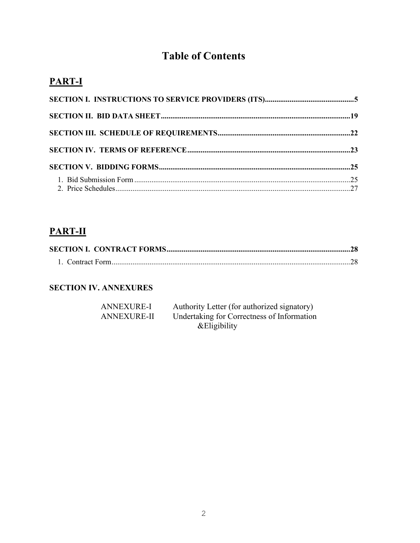## **Table of Contents**

### **PART-I**

### **PART-II**

#### **SECTION IV. ANNEXURES**

| ANNEXURE-I         | Authority Letter (for authorized signatory) |
|--------------------|---------------------------------------------|
| <b>ANNEXURE-II</b> | Undertaking for Correctness of Information  |
|                    | & Eligibility                               |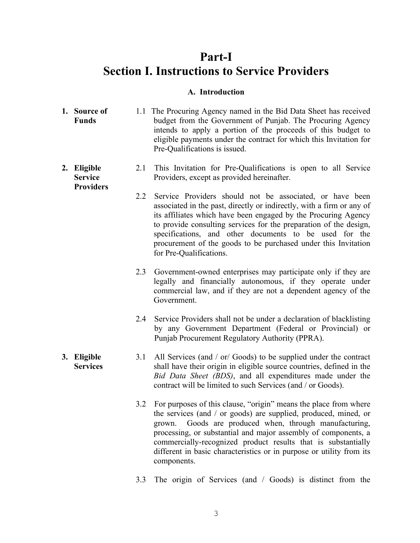### **Part-I Section I. Instructions to Service Providers**

#### **A. Introduction**

- **1. Source of Funds** 1.1 The Procuring Agency named in the Bid Data Sheet has received budget from the Government of Punjab. The Procuring Agency intends to apply a portion of the proceeds of this budget to eligible payments under the contract for which this Invitation for Pre-Qualifications is issued.
- **2. Eligible Service Providers** 2.1 This Invitation for Pre-Qualifications is open to all Service Providers, except as provided hereinafter.
	- 2.2 Service Providers should not be associated, or have been associated in the past, directly or indirectly, with a firm or any of its affiliates which have been engaged by the Procuring Agency to provide consulting services for the preparation of the design, specifications, and other documents to be used for the procurement of the goods to be purchased under this Invitation for Pre-Qualifications.
	- 2.3 Government-owned enterprises may participate only if they are legally and financially autonomous, if they operate under commercial law, and if they are not a dependent agency of the Government.
	- 2.4 Service Providers shall not be under a declaration of blacklisting by any Government Department (Federal or Provincial) or Punjab Procurement Regulatory Authority (PPRA).
- **3. Eligible Services** 3.1 All Services (and / or/ Goods) to be supplied under the contract shall have their origin in eligible source countries, defined in the *Bid Data Sheet (BDS)*, and all expenditures made under the contract will be limited to such Services (and / or Goods).
	- 3.2 For purposes of this clause, "origin" means the place from where the services (and / or goods) are supplied, produced, mined, or grown. Goods are produced when, through manufacturing, processing, or substantial and major assembly of components, a commercially-recognized product results that is substantially different in basic characteristics or in purpose or utility from its components.
	- 3.3 The origin of Services (and / Goods) is distinct from the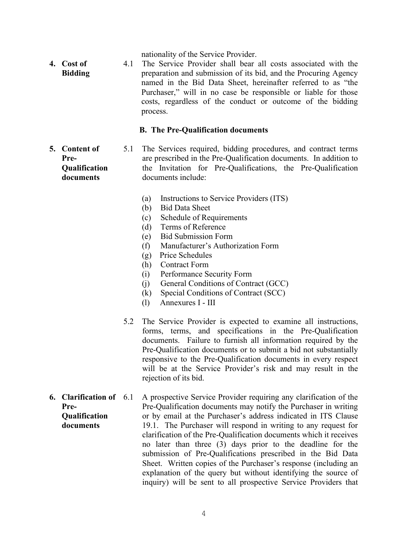nationality of the Service Provider.

**4. Cost of Bidding** 4.1 The Service Provider shall bear all costs associated with the preparation and submission of its bid, and the Procuring Agency named in the Bid Data Sheet, hereinafter referred to as "the Purchaser," will in no case be responsible or liable for those costs, regardless of the conduct or outcome of the bidding process.

#### **B. The Pre-Qualification documents**

**5. Content of Pre-Qualification documents**

5.1 The Services required, bidding procedures, and contract terms are prescribed in the Pre-Qualification documents. In addition to the Invitation for Pre-Qualifications, the Pre-Qualification documents include:

- (a) Instructions to Service Providers (ITS)
- (b) Bid Data Sheet
- (c) Schedule of Requirements
- (d) Terms of Reference
- (e) Bid Submission Form
- (f) Manufacturer's Authorization Form
- (g) Price Schedules
- (h) Contract Form
- (i) Performance Security Form
- (j) General Conditions of Contract (GCC)
- (k) Special Conditions of Contract (SCC)
- (l) Annexures I III
- 5.2 The Service Provider is expected to examine all instructions, forms, terms, and specifications in the Pre-Qualification documents. Failure to furnish all information required by the Pre-Qualification documents or to submit a bid not substantially responsive to the Pre-Qualification documents in every respect will be at the Service Provider's risk and may result in the rejection of its bid.
- **6. Clarification of Pre-Qualification documents** 6.1 A prospective Service Provider requiring any clarification of the Pre-Qualification documents may notify the Purchaser in writing or by email at the Purchaser's address indicated in ITS Clause 19.1. The Purchaser will respond in writing to any request for clarification of the Pre-Qualification documents which it receives no later than three (3) days prior to the deadline for the submission of Pre-Qualifications prescribed in the Bid Data Sheet. Written copies of the Purchaser's response (including an explanation of the query but without identifying the source of inquiry) will be sent to all prospective Service Providers that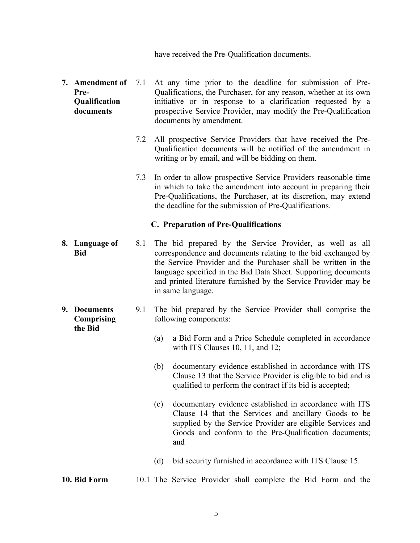have received the Pre-Qualification documents.

- **7. Amendment of Pre-Qualification documents** At any time prior to the deadline for submission of Pre-Qualifications, the Purchaser, for any reason, whether at its own initiative or in response to a clarification requested by a prospective Service Provider, may modify the Pre-Qualification documents by amendment.
	- 7.2 All prospective Service Providers that have received the Pre-Qualification documents will be notified of the amendment in writing or by email, and will be bidding on them.
	- 7.3 In order to allow prospective Service Providers reasonable time in which to take the amendment into account in preparing their Pre-Qualifications, the Purchaser, at its discretion, may extend the deadline for the submission of Pre-Qualifications.

#### **C. Preparation of Pre-Qualifications**

- **8. Language of Bid** 8.1 The bid prepared by the Service Provider, as well as all correspondence and documents relating to the bid exchanged by the Service Provider and the Purchaser shall be written in the language specified in the Bid Data Sheet. Supporting documents and printed literature furnished by the Service Provider may be in same language.
- **9. Documents Comprising the Bid** 9.1 The bid prepared by the Service Provider shall comprise the following components:
	- (a) a Bid Form and a Price Schedule completed in accordance with ITS Clauses 10, 11, and 12;
	- (b) documentary evidence established in accordance with ITS Clause 13 that the Service Provider is eligible to bid and is qualified to perform the contract if its bid is accepted;
	- (c) documentary evidence established in accordance with ITS Clause 14 that the Services and ancillary Goods to be supplied by the Service Provider are eligible Services and Goods and conform to the Pre-Qualification documents; and
	- (d) bid security furnished in accordance with ITS Clause 15.

**10. Bid Form** 10.1 The Service Provider shall complete the Bid Form and the

5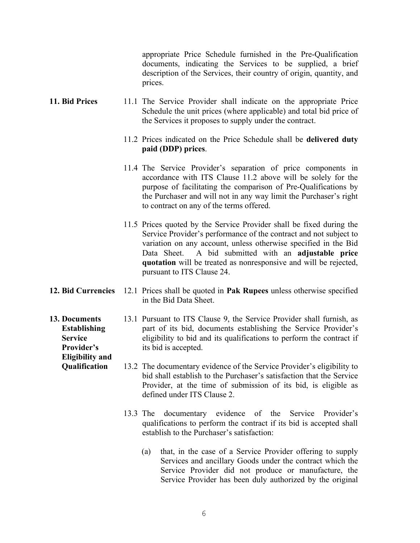appropriate Price Schedule furnished in the Pre-Qualification documents, indicating the Services to be supplied, a brief description of the Services, their country of origin, quantity, and prices.

- **11. Bid Prices** 11.1 The Service Provider shall indicate on the appropriate Price Schedule the unit prices (where applicable) and total bid price of the Services it proposes to supply under the contract.
	- 11.2 Prices indicated on the Price Schedule shall be **delivered duty paid (DDP) prices**.
	- 11.4 The Service Provider's separation of price components in accordance with ITS Clause 11.2 above will be solely for the purpose of facilitating the comparison of Pre-Qualifications by the Purchaser and will not in any way limit the Purchaser's right to contract on any of the terms offered.
	- 11.5 Prices quoted by the Service Provider shall be fixed during the Service Provider's performance of the contract and not subject to variation on any account, unless otherwise specified in the Bid Data Sheet. A bid submitted with an **adjustable price quotation** will be treated as nonresponsive and will be rejected, pursuant to ITS Clause 24.
- **12. Bid Currencies** 12.1 Prices shall be quoted in **Pak Rupees** unless otherwise specified in the Bid Data Sheet.
- **13. Documents Establishing Service Provider's**  13.1 Pursuant to ITS Clause 9, the Service Provider shall furnish, as part of its bid, documents establishing the Service Provider's eligibility to bid and its qualifications to perform the contract if its bid is accepted.

**Eligibility and Qualification**

- 13.2 The documentary evidence of the Service Provider's eligibility to bid shall establish to the Purchaser's satisfaction that the Service Provider, at the time of submission of its bid, is eligible as defined under ITS Clause 2.
- 13.3 The documentary evidence of the Service Provider's qualifications to perform the contract if its bid is accepted shall establish to the Purchaser's satisfaction:
	- (a) that, in the case of a Service Provider offering to supply Services and ancillary Goods under the contract which the Service Provider did not produce or manufacture, the Service Provider has been duly authorized by the original
		- 6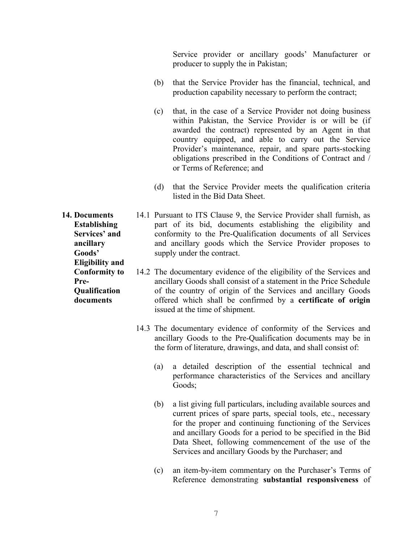Service provider or ancillary goods' Manufacturer or producer to supply the in Pakistan;

- (b) that the Service Provider has the financial, technical, and production capability necessary to perform the contract;
- (c) that, in the case of a Service Provider not doing business within Pakistan, the Service Provider is or will be (if awarded the contract) represented by an Agent in that country equipped, and able to carry out the Service Provider's maintenance, repair, and spare parts-stocking obligations prescribed in the Conditions of Contract and / or Terms of Reference; and
- (d) that the Service Provider meets the qualification criteria listed in the Bid Data Sheet.

**14. Documents Establishing Services' and ancillary Goods'**  14.1 Pursuant to ITS Clause 9, the Service Provider shall furnish, as part of its bid, documents establishing the eligibility and conformity to the Pre-Qualification documents of all Services and ancillary goods which the Service Provider proposes to supply under the contract.

- 14.2 The documentary evidence of the eligibility of the Services and ancillary Goods shall consist of a statement in the Price Schedule of the country of origin of the Services and ancillary Goods offered which shall be confirmed by a **certificate of origin** issued at the time of shipment.
	- 14.3 The documentary evidence of conformity of the Services and ancillary Goods to the Pre-Qualification documents may be in the form of literature, drawings, and data, and shall consist of:
		- (a) a detailed description of the essential technical and performance characteristics of the Services and ancillary Goods;
		- (b) a list giving full particulars, including available sources and current prices of spare parts, special tools, etc., necessary for the proper and continuing functioning of the Services and ancillary Goods for a period to be specified in the Bid Data Sheet, following commencement of the use of the Services and ancillary Goods by the Purchaser; and
		- (c) an item-by-item commentary on the Purchaser's Terms of Reference demonstrating **substantial responsiveness** of

**Eligibility and Conformity to Pre-Qualification documents**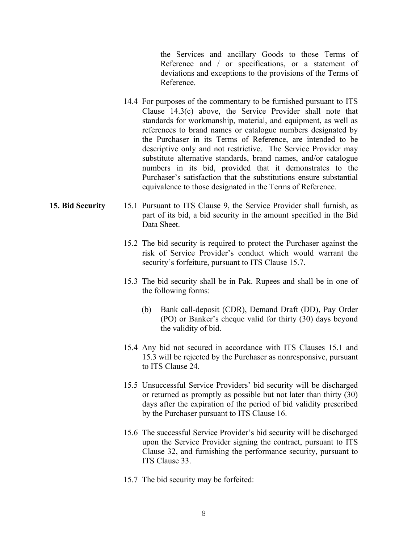the Services and ancillary Goods to those Terms of Reference and / or specifications, or a statement of deviations and exceptions to the provisions of the Terms of Reference.

14.4 For purposes of the commentary to be furnished pursuant to ITS Clause 14.3(c) above, the Service Provider shall note that standards for workmanship, material, and equipment, as well as references to brand names or catalogue numbers designated by the Purchaser in its Terms of Reference, are intended to be descriptive only and not restrictive. The Service Provider may substitute alternative standards, brand names, and/or catalogue numbers in its bid, provided that it demonstrates to the Purchaser's satisfaction that the substitutions ensure substantial equivalence to those designated in the Terms of Reference.

#### **15. Bid Security** 15.1 Pursuant to ITS Clause 9, the Service Provider shall furnish, as part of its bid, a bid security in the amount specified in the Bid Data Sheet.

- 15.2 The bid security is required to protect the Purchaser against the risk of Service Provider's conduct which would warrant the security's forfeiture, pursuant to ITS Clause 15.7.
- 15.3 The bid security shall be in Pak. Rupees and shall be in one of the following forms:
	- (b) Bank call-deposit (CDR), Demand Draft (DD), Pay Order (PO) or Banker's cheque valid for thirty (30) days beyond the validity of bid.
- 15.4 Any bid not secured in accordance with ITS Clauses 15.1 and 15.3 will be rejected by the Purchaser as nonresponsive, pursuant to ITS Clause 24.
- 15.5 Unsuccessful Service Providers' bid security will be discharged or returned as promptly as possible but not later than thirty (30) days after the expiration of the period of bid validity prescribed by the Purchaser pursuant to ITS Clause 16.
- 15.6 The successful Service Provider's bid security will be discharged upon the Service Provider signing the contract, pursuant to ITS Clause 32, and furnishing the performance security, pursuant to ITS Clause 33.
- 15.7 The bid security may be forfeited: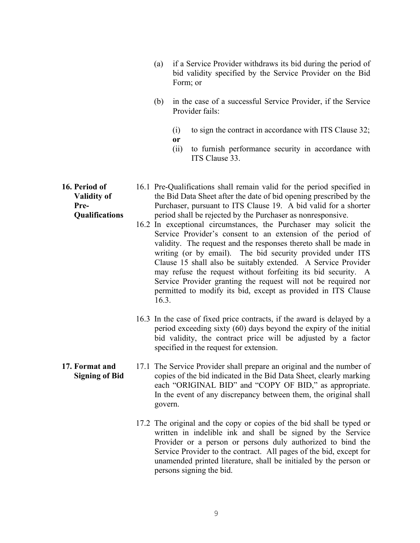- (a) if a Service Provider withdraws its bid during the period of bid validity specified by the Service Provider on the Bid Form; or
- (b) in the case of a successful Service Provider, if the Service Provider fails:
	- (i) to sign the contract in accordance with ITS Clause 32; **or**
	- (ii) to furnish performance security in accordance with ITS Clause 33.
- 16.1 Pre-Qualifications shall remain valid for the period specified in the Bid Data Sheet after the date of bid opening prescribed by the Purchaser, pursuant to ITS Clause 19. A bid valid for a shorter period shall be rejected by the Purchaser as nonresponsive.
	- 16.2 In exceptional circumstances, the Purchaser may solicit the Service Provider's consent to an extension of the period of validity. The request and the responses thereto shall be made in writing (or by email). The bid security provided under ITS Clause 15 shall also be suitably extended. A Service Provider may refuse the request without forfeiting its bid security. A Service Provider granting the request will not be required nor permitted to modify its bid, except as provided in ITS Clause 16.3.
	- 16.3 In the case of fixed price contracts, if the award is delayed by a period exceeding sixty (60) days beyond the expiry of the initial bid validity, the contract price will be adjusted by a factor specified in the request for extension.
- **17. Format and Signing of Bid** 17.1 The Service Provider shall prepare an original and the number of copies of the bid indicated in the Bid Data Sheet, clearly marking each "ORIGINAL BID" and "COPY OF BID," as appropriate. In the event of any discrepancy between them, the original shall govern.
	- 17.2 The original and the copy or copies of the bid shall be typed or written in indelible ink and shall be signed by the Service Provider or a person or persons duly authorized to bind the Service Provider to the contract. All pages of the bid, except for unamended printed literature, shall be initialed by the person or persons signing the bid.

**16. Period of Validity of Pre-Qualifications**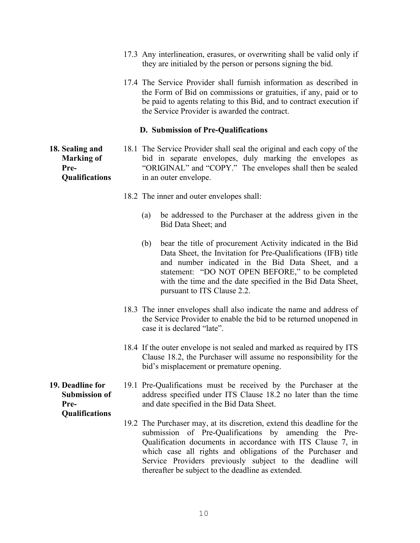- 17.3 Any interlineation, erasures, or overwriting shall be valid only if they are initialed by the person or persons signing the bid.
- 17.4 The Service Provider shall furnish information as described in the Form of Bid on commissions or gratuities, if any, paid or to be paid to agents relating to this Bid, and to contract execution if the Service Provider is awarded the contract.

#### **D. Submission of Pre-Qualifications**

**18. Sealing and Marking of Pre-Qualifications**

- 18.1 The Service Provider shall seal the original and each copy of the bid in separate envelopes, duly marking the envelopes as "ORIGINAL" and "COPY." The envelopes shall then be sealed in an outer envelope.
	- 18.2 The inner and outer envelopes shall:
		- (a) be addressed to the Purchaser at the address given in the Bid Data Sheet; and
		- (b) bear the title of procurement Activity indicated in the Bid Data Sheet, the Invitation for Pre-Qualifications (IFB) title and number indicated in the Bid Data Sheet, and a statement: "DO NOT OPEN BEFORE," to be completed with the time and the date specified in the Bid Data Sheet, pursuant to ITS Clause 2.2.
	- 18.3 The inner envelopes shall also indicate the name and address of the Service Provider to enable the bid to be returned unopened in case it is declared "late".
	- 18.4 If the outer envelope is not sealed and marked as required by ITS Clause 18.2, the Purchaser will assume no responsibility for the bid's misplacement or premature opening.

#### **19. Deadline for Submission of Pre-Qualifications**

- 19.1 Pre-Qualifications must be received by the Purchaser at the address specified under ITS Clause 18.2 no later than the time and date specified in the Bid Data Sheet.
- 19.2 The Purchaser may, at its discretion, extend this deadline for the submission of Pre-Qualifications by amending the Pre-Qualification documents in accordance with ITS Clause 7, in which case all rights and obligations of the Purchaser and Service Providers previously subject to the deadline will thereafter be subject to the deadline as extended.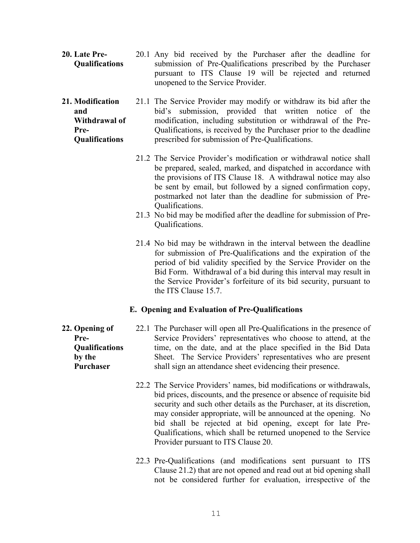- **20. Late Pre-Qualifications** 20.1 Any bid received by the Purchaser after the deadline for submission of Pre-Qualifications prescribed by the Purchaser pursuant to ITS Clause 19 will be rejected and returned unopened to the Service Provider.
- **21. Modification and Withdrawal of Pre-Qualifications** 21.1 The Service Provider may modify or withdraw its bid after the bid's submission, provided that written notice of the modification, including substitution or withdrawal of the Pre-Qualifications, is received by the Purchaser prior to the deadline prescribed for submission of Pre-Qualifications.
	- 21.2 The Service Provider's modification or withdrawal notice shall be prepared, sealed, marked, and dispatched in accordance with the provisions of ITS Clause 18. A withdrawal notice may also be sent by email, but followed by a signed confirmation copy, postmarked not later than the deadline for submission of Pre-Qualifications.
	- 21.3 No bid may be modified after the deadline for submission of Pre-Qualifications.
	- 21.4 No bid may be withdrawn in the interval between the deadline for submission of Pre-Qualifications and the expiration of the period of bid validity specified by the Service Provider on the Bid Form. Withdrawal of a bid during this interval may result in the Service Provider's forfeiture of its bid security, pursuant to the ITS Clause 15.7.

#### **E. Opening and Evaluation of Pre-Qualifications**

- **Pre-Qualifications by the Purchaser** 22.1 The Purchaser will open all Pre-Qualifications in the presence of Service Providers' representatives who choose to attend, at the time, on the date, and at the place specified in the Bid Data Sheet. The Service Providers' representatives who are present shall sign an attendance sheet evidencing their presence.
	- 22.2 The Service Providers' names, bid modifications or withdrawals, bid prices, discounts, and the presence or absence of requisite bid security and such other details as the Purchaser, at its discretion, may consider appropriate, will be announced at the opening. No bid shall be rejected at bid opening, except for late Pre-Qualifications, which shall be returned unopened to the Service Provider pursuant to ITS Clause 20.
	- 22.3 Pre-Qualifications (and modifications sent pursuant to ITS Clause 21.2) that are not opened and read out at bid opening shall not be considered further for evaluation, irrespective of the

**22. Opening of**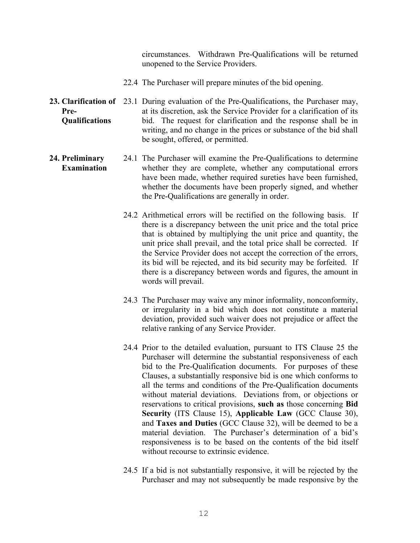circumstances. Withdrawn Pre-Qualifications will be returned unopened to the Service Providers.

- 22.4 The Purchaser will prepare minutes of the bid opening.
- 23. Clarification of 23.1 During evaluation of the Pre-Qualifications, the Purchaser may, **Pre-Qualifications** at its discretion, ask the Service Provider for a clarification of its bid. The request for clarification and the response shall be in writing, and no change in the prices or substance of the bid shall be sought, offered, or permitted.
- **24. Preliminary Examination** 24.1 The Purchaser will examine the Pre-Qualifications to determine whether they are complete, whether any computational errors have been made, whether required sureties have been furnished, whether the documents have been properly signed, and whether the Pre-Qualifications are generally in order.
	- 24.2 Arithmetical errors will be rectified on the following basis. If there is a discrepancy between the unit price and the total price that is obtained by multiplying the unit price and quantity, the unit price shall prevail, and the total price shall be corrected. If the Service Provider does not accept the correction of the errors, its bid will be rejected, and its bid security may be forfeited. If there is a discrepancy between words and figures, the amount in words will prevail.
	- 24.3 The Purchaser may waive any minor informality, nonconformity, or irregularity in a bid which does not constitute a material deviation, provided such waiver does not prejudice or affect the relative ranking of any Service Provider.
	- 24.4 Prior to the detailed evaluation, pursuant to ITS Clause 25 the Purchaser will determine the substantial responsiveness of each bid to the Pre-Qualification documents. For purposes of these Clauses, a substantially responsive bid is one which conforms to all the terms and conditions of the Pre-Qualification documents without material deviations. Deviations from, or objections or reservations to critical provisions, **such as** those concerning **Bid Security** (ITS Clause 15), **Applicable Law** (GCC Clause 30), and **Taxes and Duties** (GCC Clause 32), will be deemed to be a material deviation. The Purchaser's determination of a bid's responsiveness is to be based on the contents of the bid itself without recourse to extrinsic evidence.
	- 24.5 If a bid is not substantially responsive, it will be rejected by the Purchaser and may not subsequently be made responsive by the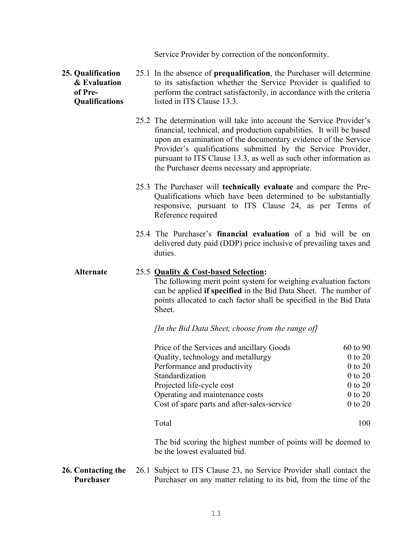Service Provider by correction of the nonconformity.

#### **25. Qualification & Evaluation of Pre-Qualifications** 25.1 In the absence of **prequalification**, the Purchaser will determine to its satisfaction whether the Service Provider is qualified to perform the contract satisfactorily, in accordance with the criteria listed in ITS Clause 13.3.

- 25.2 The determination will take into account the Service Provider's financial, technical, and production capabilities. It will be based upon an examination of the documentary evidence of the Service Provider's qualifications submitted by the Service Provider, pursuant to ITS Clause 13.3, as well as such other information as the Purchaser deems necessary and appropriate.
- 25.3 The Purchaser will **technically evaluate** and compare the Pre-Qualifications which have been determined to be substantially responsive, pursuant to ITS Clause 24, as per Terms of Reference required
- 25.4 The Purchaser's **financial evaluation** of a bid will be on delivered duty paid (DDP) price inclusive of prevailing taxes and duties.

#### **Alternate** 25.5 **Quality & Cost-based Selection:**

The following merit point system for weighing evaluation factors can be applied **if specified** in the Bid Data Sheet. The number of points allocated to each factor shall be specified in the Bid Data Sheet.

*[In the Bid Data Sheet, choose from the range of]*

| Price of the Services and ancillary Goods   | 60 to 90    |
|---------------------------------------------|-------------|
| Quality, technology and metallurgy          | $0$ to $20$ |
| Performance and productivity                | $0$ to $20$ |
| Standardization                             | $0$ to $20$ |
| Projected life-cycle cost                   | $0$ to $20$ |
| Operating and maintenance costs             | $0$ to $20$ |
| Cost of spare parts and after-sales-service | $0$ to $20$ |
|                                             |             |
| $T_{\alpha t}$ $1$                          | 1 ሰ ሰ       |

Total 100

The bid scoring the highest number of points will be deemed to be the lowest evaluated bid.

**26. Contacting the Purchaser** 26.1 Subject to ITS Clause 23, no Service Provider shall contact the Purchaser on any matter relating to its bid, from the time of the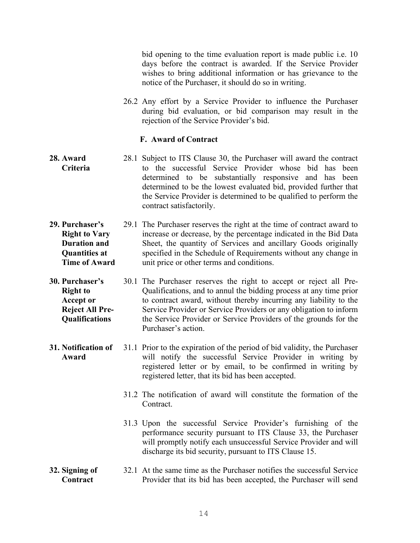bid opening to the time evaluation report is made public i.e. 10 days before the contract is awarded. If the Service Provider wishes to bring additional information or has grievance to the notice of the Purchaser, it should do so in writing.

26.2 Any effort by a Service Provider to influence the Purchaser during bid evaluation, or bid comparison may result in the rejection of the Service Provider's bid.

#### **F. Award of Contract**

- **28. Award Criteria** 28.1 Subject to ITS Clause 30, the Purchaser will award the contract to the successful Service Provider whose bid has been determined to be substantially responsive and has been determined to be the lowest evaluated bid, provided further that the Service Provider is determined to be qualified to perform the contract satisfactorily.
- **29. Purchaser's Right to Vary Duration and Quantities at Time of Award** 29.1 The Purchaser reserves the right at the time of contract award to increase or decrease, by the percentage indicated in the Bid Data Sheet, the quantity of Services and ancillary Goods originally specified in the Schedule of Requirements without any change in unit price or other terms and conditions.
- **30. Purchaser's Right to Accept or Reject All Pre-Qualifications** 30.1 The Purchaser reserves the right to accept or reject all Pre-Qualifications, and to annul the bidding process at any time prior to contract award, without thereby incurring any liability to the Service Provider or Service Providers or any obligation to inform the Service Provider or Service Providers of the grounds for the Purchaser's action.
- **31. Notification of Award** 31.1 Prior to the expiration of the period of bid validity, the Purchaser will notify the successful Service Provider in writing by registered letter or by email, to be confirmed in writing by registered letter, that its bid has been accepted.
	- 31.2 The notification of award will constitute the formation of the Contract.
	- 31.3 Upon the successful Service Provider's furnishing of the performance security pursuant to ITS Clause 33, the Purchaser will promptly notify each unsuccessful Service Provider and will discharge its bid security, pursuant to ITS Clause 15.

#### **32. Signing of Contract** 32.1 At the same time as the Purchaser notifies the successful Service Provider that its bid has been accepted, the Purchaser will send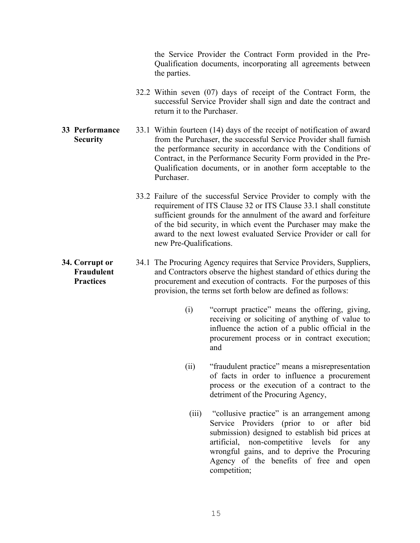the Service Provider the Contract Form provided in the Pre-Qualification documents, incorporating all agreements between the parties.

- 32.2 Within seven (07) days of receipt of the Contract Form, the successful Service Provider shall sign and date the contract and return it to the Purchaser.
- **33 Performance Security** 33.1 Within fourteen (14) days of the receipt of notification of award from the Purchaser, the successful Service Provider shall furnish the performance security in accordance with the Conditions of Contract, in the Performance Security Form provided in the Pre-Qualification documents, or in another form acceptable to the Purchaser.
	- 33.2 Failure of the successful Service Provider to comply with the requirement of ITS Clause 32 or ITS Clause 33.1 shall constitute sufficient grounds for the annulment of the award and forfeiture of the bid security, in which event the Purchaser may make the award to the next lowest evaluated Service Provider or call for new Pre-Qualifications.
	- 34.1 The Procuring Agency requires that Service Providers, Suppliers, and Contractors observe the highest standard of ethics during the procurement and execution of contracts. For the purposes of this provision, the terms set forth below are defined as follows:
		- (i) "corrupt practice" means the offering, giving, receiving or soliciting of anything of value to influence the action of a public official in the procurement process or in contract execution; and
		- (ii) "fraudulent practice" means a misrepresentation of facts in order to influence a procurement process or the execution of a contract to the detriment of the Procuring Agency,
			- (iii) "collusive practice" is an arrangement among Service Providers (prior to or after bid submission) designed to establish bid prices at artificial, non-competitive levels for any wrongful gains, and to deprive the Procuring Agency of the benefits of free and open competition;

**34. Corrupt or Fraudulent Practices**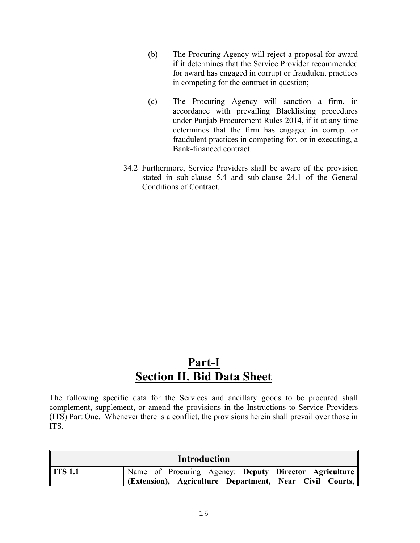- (b) The Procuring Agency will reject a proposal for award if it determines that the Service Provider recommended for award has engaged in corrupt or fraudulent practices in competing for the contract in question;
- (c) The Procuring Agency will sanction a firm, in accordance with prevailing Blacklisting procedures under Punjab Procurement Rules 2014, if it at any time determines that the firm has engaged in corrupt or fraudulent practices in competing for, or in executing, a Bank-financed contract.
- 34.2 Furthermore, Service Providers shall be aware of the provision stated in sub-clause 5.4 and sub-clause 24.1 of the General Conditions of Contract.

### **Part-I Section II. Bid Data Sheet**

The following specific data for the Services and ancillary goods to be procured shall complement, supplement, or amend the provisions in the Instructions to Service Providers (ITS) Part One. Whenever there is a conflict, the provisions herein shall prevail over those in ITS.

|         | <b>Introduction</b>                                                            |  |
|---------|--------------------------------------------------------------------------------|--|
| ITS 1.1 | Name of Procuring Agency: Deputy Director Agriculture                          |  |
|         | <b>(Extension), Agriculture Department, Near Civil Courts, <math>\ </math></b> |  |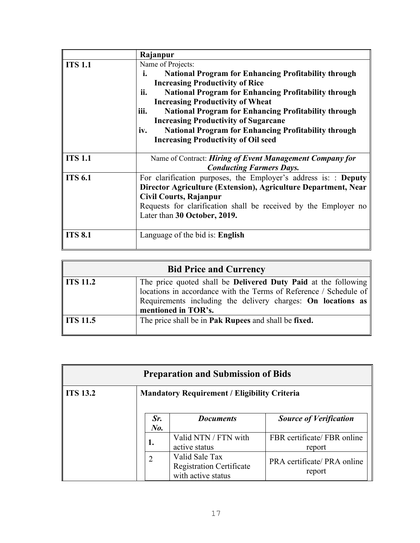|                | Rajanpur                                                            |
|----------------|---------------------------------------------------------------------|
| <b>ITS 1.1</b> | Name of Projects:                                                   |
|                | <b>National Program for Enhancing Profitability through</b><br>i.   |
|                | <b>Increasing Productivity of Rice</b>                              |
|                | <b>National Program for Enhancing Profitability through</b><br>ii.  |
|                | <b>Increasing Productivity of Wheat</b>                             |
|                | <b>National Program for Enhancing Profitability through</b><br>iii. |
|                | <b>Increasing Productivity of Sugarcane</b>                         |
|                | <b>National Program for Enhancing Profitability through</b><br>iv.  |
|                | <b>Increasing Productivity of Oil seed</b>                          |
|                |                                                                     |
| <b>ITS 1.1</b> | Name of Contract: Hiring of Event Management Company for            |
|                | <b>Conducting Farmers Days.</b>                                     |
| <b>ITS 6.1</b> | For clarification purposes, the Employer's address is: : Deputy     |
|                | Director Agriculture (Extension), Agriculture Department, Near      |
|                | Civil Courts, Rajanpur                                              |
|                | Requests for clarification shall be received by the Employer no     |
|                | Later than 30 October, 2019.                                        |
|                |                                                                     |
| <b>ITS 8.1</b> | Language of the bid is: English                                     |

|          | <b>Bid Price and Currency</b>                                                                                                                                                                                                                 |
|----------|-----------------------------------------------------------------------------------------------------------------------------------------------------------------------------------------------------------------------------------------------|
| ITS 11.2 | The price quoted shall be <b>Delivered Duty Paid</b> at the following<br>locations in accordance with the Terms of Reference / Schedule of<br>Requirements including the delivery charges: On locations as $\parallel$<br>mentioned in TOR's. |
| ITS 11.5 | The price shall be in <b>Pak Rupees</b> and shall be fixed.                                                                                                                                                                                   |

| <b>Preparation and Submission of Bids</b> |                  |                                                                         |                                       |
|-------------------------------------------|------------------|-------------------------------------------------------------------------|---------------------------------------|
| <b>ITS 13.2</b>                           |                  | <b>Mandatory Requirement / Eligibility Criteria</b>                     |                                       |
|                                           | Sr.<br>$N_{0}$ . | <b>Documents</b>                                                        | <b>Source of Verification</b>         |
|                                           | 1.               | Valid NTN / FTN with<br>active status                                   | FBR certificate/ FBR online<br>report |
|                                           | 2                | Valid Sale Tax<br><b>Registration Certificate</b><br>with active status | PRA certificate/ PRA online<br>report |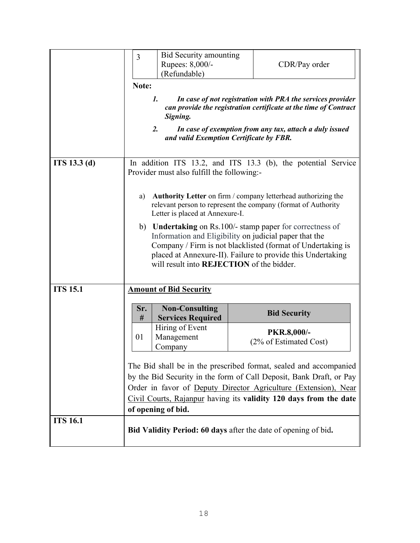|                 | 3<br>Note:<br>1.                                                                                                                                                                                                                                                                                       | Bid Security amounting<br>Rupees: 8,000/-<br>(Refundable)<br>Signing.<br>2.                                                                   |  | CDR/Pay order<br>In case of not registration with PRA the services provider<br>can provide the registration certificate at the time of Contract<br>In case of exemption from any tax, attach a duly issued                                                                                                                       |
|-----------------|--------------------------------------------------------------------------------------------------------------------------------------------------------------------------------------------------------------------------------------------------------------------------------------------------------|-----------------------------------------------------------------------------------------------------------------------------------------------|--|----------------------------------------------------------------------------------------------------------------------------------------------------------------------------------------------------------------------------------------------------------------------------------------------------------------------------------|
| ITS 13.3(d)     | and valid Exemption Certificate by FBR.<br>In addition ITS 13.2, and ITS 13.3 (b), the potential Service<br>Provider must also fulfill the following:-                                                                                                                                                 |                                                                                                                                               |  |                                                                                                                                                                                                                                                                                                                                  |
|                 | a)                                                                                                                                                                                                                                                                                                     | Letter is placed at Annexure-I.<br>Information and Eligibility on judicial paper that the<br>will result into <b>REJECTION</b> of the bidder. |  | Authority Letter on firm / company letterhead authorizing the<br>relevant person to represent the company (format of Authority<br>b) <b>Undertaking</b> on Rs.100/- stamp paper for correctness of<br>Company / Firm is not blacklisted (format of Undertaking is<br>placed at Annexure-II). Failure to provide this Undertaking |
| <b>ITS 15.1</b> |                                                                                                                                                                                                                                                                                                        | <b>Amount of Bid Security</b>                                                                                                                 |  |                                                                                                                                                                                                                                                                                                                                  |
|                 | Sr.<br>#                                                                                                                                                                                                                                                                                               | <b>Non-Consulting</b><br><b>Services Required</b><br>Hiring of Event                                                                          |  | <b>Bid Security</b>                                                                                                                                                                                                                                                                                                              |
|                 | 01                                                                                                                                                                                                                                                                                                     | Management<br>Company                                                                                                                         |  | PKR.8,000/-<br>(2% of Estimated Cost)                                                                                                                                                                                                                                                                                            |
|                 | The Bid shall be in the prescribed format, sealed and accompanied<br>by the Bid Security in the form of Call Deposit, Bank Draft, or Pay<br>Order in favor of Deputy Director Agriculture (Extension), Near<br>Civil Courts, Rajanpur having its validity 120 days from the date<br>of opening of bid. |                                                                                                                                               |  |                                                                                                                                                                                                                                                                                                                                  |
| <b>ITS 16.1</b> |                                                                                                                                                                                                                                                                                                        |                                                                                                                                               |  | <b>Bid Validity Period: 60 days</b> after the date of opening of bid.                                                                                                                                                                                                                                                            |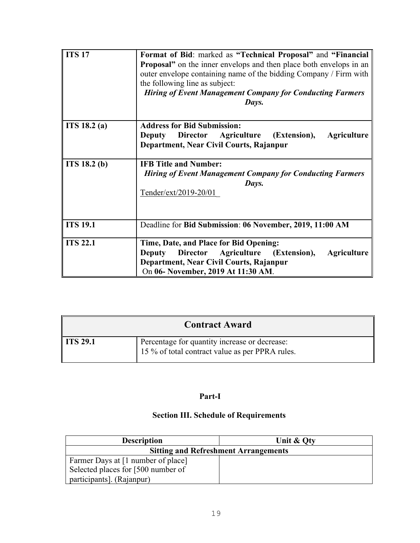| <b>ITS 17</b>   | Format of Bid: marked as "Technical Proposal" and "Financial<br><b>Proposal</b> " on the inner envelops and then place both envelops in an<br>outer envelope containing name of the bidding Company / Firm with<br>the following line as subject:<br><b>Hiring of Event Management Company for Conducting Farmers</b><br>Days. |
|-----------------|--------------------------------------------------------------------------------------------------------------------------------------------------------------------------------------------------------------------------------------------------------------------------------------------------------------------------------|
| ITS 18.2 (a)    | <b>Address for Bid Submission:</b><br><b>Director</b><br>Agriculture (Extension),<br><b>Agriculture</b><br>Deputy<br>Department, Near Civil Courts, Rajanpur                                                                                                                                                                   |
| ITS 18.2 (b)    | <b>IFB Title and Number:</b><br><b>Hiring of Event Management Company for Conducting Farmers</b><br>Days.<br>$Tender/ext/2019-20/01$                                                                                                                                                                                           |
| <b>ITS 19.1</b> | Deadline for Bid Submission: 06 November, 2019, 11:00 AM                                                                                                                                                                                                                                                                       |
| <b>ITS 22.1</b> | Time, Date, and Place for Bid Opening:<br>Director Agriculture (Extension),<br>Deputy<br><b>Agriculture</b><br>Department, Near Civil Courts, Rajanpur<br>On 06- November, 2019 At 11:30 AM.                                                                                                                                   |

| <b>Contract Award</b> |                                                                                                  |
|-----------------------|--------------------------------------------------------------------------------------------------|
| <b>ITS 29.1</b>       | Percentage for quantity increase or decrease:<br>15 % of total contract value as per PPRA rules. |

#### **Part-I**

### **Section III. Schedule of Requirements**

| <b>Description</b>                 | Unit & Oty                                  |
|------------------------------------|---------------------------------------------|
|                                    | <b>Sitting and Refreshment Arrangements</b> |
| Farmer Days at [1 number of place] |                                             |
| Selected places for [500 number of |                                             |
| participants]. (Rajanpur)          |                                             |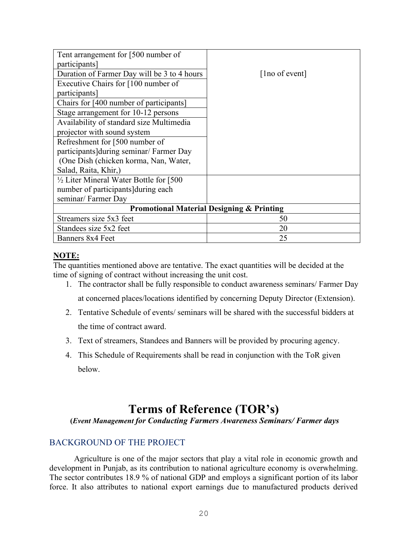| Tent arrangement for [500 number of                  |                |  |
|------------------------------------------------------|----------------|--|
| participants]                                        |                |  |
| Duration of Farmer Day will be 3 to 4 hours          | [1no of event] |  |
| Executive Chairs for [100 number of                  |                |  |
| participants]                                        |                |  |
| Chairs for [400 number of participants]              |                |  |
| Stage arrangement for 10-12 persons                  |                |  |
| Availability of standard size Multimedia             |                |  |
| projector with sound system                          |                |  |
| Refreshment for [500 number of                       |                |  |
| participants during seminar/ Farmer Day              |                |  |
| (One Dish (chicken korma, Nan, Water,                |                |  |
| Salad, Raita, Khir,)                                 |                |  |
| $\frac{1}{2}$ Liter Mineral Water Bottle for [500]   |                |  |
| number of participants during each                   |                |  |
| seminar/ Farmer Day                                  |                |  |
| <b>Promotional Material Designing &amp; Printing</b> |                |  |
| Streamers size 5x3 feet                              | 50             |  |
| Standees size 5x2 feet                               | 20             |  |
| Banners 8x4 Feet                                     | 25             |  |

#### **NOTE:**

The quantities mentioned above are tentative. The exact quantities will be decided at the time of signing of contract without increasing the unit cost.

- 1. The contractor shall be fully responsible to conduct awareness seminars/ Farmer Day at concerned places/locations identified by concerning Deputy Director (Extension).
- 2. Tentative Schedule of events/ seminars will be shared with the successful bidders at the time of contract award.
- 3. Text of streamers, Standees and Banners will be provided by procuring agency.
- 4. This Schedule of Requirements shall be read in conjunction with the ToR given below.

### **Terms of Reference (TOR's)**

**(***Event Management for Conducting Farmers Awareness Seminars/ Farmer days*

#### BACKGROUND OF THE PROJECT

Agriculture is one of the major sectors that play a vital role in economic growth and development in Punjab, as its contribution to national agriculture economy is overwhelming. The sector contributes 18.9 % of national GDP and employs a significant portion of its labor force. It also attributes to national export earnings due to manufactured products derived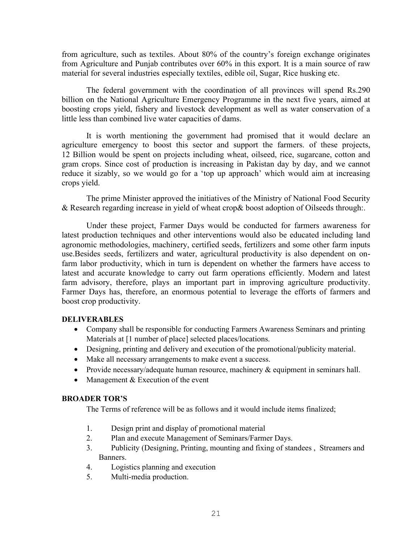from agriculture, such as textiles. About 80% of the country's foreign exchange originates from Agriculture and Punjab contributes over 60% in this export. It is a main source of raw material for several industries especially textiles, edible oil, Sugar, Rice husking etc.

The federal government with the coordination of all provinces will spend Rs.290 billion on the National Agriculture Emergency Programme in the next five years, aimed at boosting crops yield, fishery and livestock development as well as water conservation of a little less than combined live water capacities of dams.

It is worth mentioning the government had promised that it would declare an agriculture emergency to boost this sector and support the farmers. of these projects, 12 Billion would be spent on projects including wheat, oilseed, rice, sugarcane, cotton and gram crops. Since cost of production is increasing in Pakistan day by day, and we cannot reduce it sizably, so we would go for a 'top up approach' which would aim at increasing crops yield.

The prime Minister approved the initiatives of the Ministry of National Food Security & Research regarding increase in yield of wheat crop& boost adoption of Oilseeds through:.

Under these project, Farmer Days would be conducted for farmers awareness for latest production techniques and other interventions would also be educated including land agronomic methodologies, machinery, certified seeds, fertilizers and some other farm inputs use.Besides seeds, fertilizers and water, agricultural productivity is also dependent on onfarm labor productivity, which in turn is dependent on whether the farmers have access to latest and accurate knowledge to carry out farm operations efficiently. Modern and latest farm advisory, therefore, plays an important part in improving agriculture productivity. Farmer Days has, therefore, an enormous potential to leverage the efforts of farmers and boost crop productivity.

#### **DELIVERABLES**

- Company shall be responsible for conducting Farmers Awareness Seminars and printing Materials at [1 number of place] selected places/locations.
- Designing, printing and delivery and execution of the promotional/publicity material.
- Make all necessary arrangements to make event a success.
- Provide necessary/adequate human resource, machinery & equipment in seminars hall.
- Management & Execution of the event

#### **BROADER TOR'S**

The Terms of reference will be as follows and it would include items finalized;

- 1. Design print and display of promotional material
- 2. Plan and execute Management of Seminars/Farmer Days.
- 3. Publicity (Designing, Printing, mounting and fixing of standees , Streamers and Banners.
- 4. Logistics planning and execution
- 5. Multi-media production.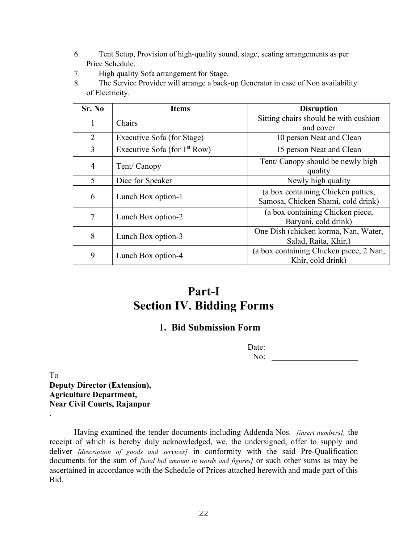- 6. Tent Setup, Provision of high-quality sound, stage, seating arrangements as per Price Schedule.
- 7. High quality Sofa arrangement for Stage.
- 8. The Service Provider will arrange a back-up Generator in case of Non availability of Electricity.

| Sr. No         | <b>Items</b>                    | <b>Disruption</b>                       |
|----------------|---------------------------------|-----------------------------------------|
| 1              | Chairs                          | Sitting chairs should be with cushion   |
|                |                                 | and cover                               |
| 2              | Executive Sofa (for Stage)      | 10 person Neat and Clean                |
| 3              | Executive Sofa (for $1st Row$ ) | 15 person Neat and Clean                |
| $\overline{4}$ | Tent/ Canopy                    | Tent/ Canopy should be newly high       |
|                |                                 | quality                                 |
| 5              | Dice for Speaker                | Newly high quality                      |
| 6              |                                 | (a box containing Chicken patties,      |
|                | Lunch Box option-1              | Samosa, Chicken Shami, cold drink)      |
| 7              |                                 | (a box containing Chicken piece,        |
|                | Lunch Box option-2              | Baryani, cold drink)                    |
| 8              | Lunch Box option-3              | One Dish (chicken korma, Nan, Water,    |
|                |                                 | Salad, Raita, Khir,)                    |
| 9              | Lunch Box option-4              | (a box containing Chicken piece, 2 Nan, |
|                |                                 | Khir, cold drink)                       |

### **Part-I Section IV. Bidding Forms**

### **1. Bid Submission Form**

| Date: |  |
|-------|--|
| .     |  |

To **Deputy Director (Extension), Agriculture Department, Near Civil Courts, Rajanpur**

.

Having examined the tender documents including Addenda Nos. *[insert numbers],* the receipt of which is hereby duly acknowledged, we, the undersigned, offer to supply and deliver *[description of goods and services]* in conformity with the said Pre-Qualification documents for the sum of *[total bid amount in words and figures]* or such other sums as may be ascertained in accordance with the Schedule of Prices attached herewith and made part of this Bid.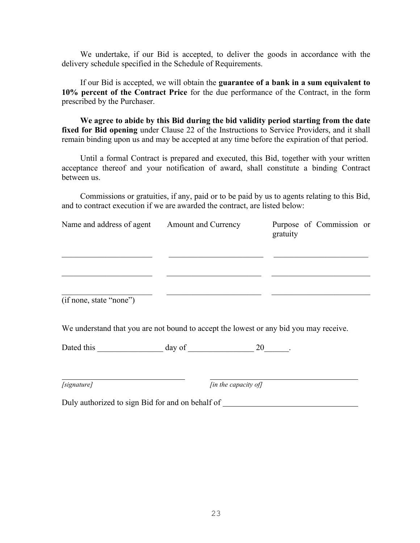We undertake, if our Bid is accepted, to deliver the goods in accordance with the delivery schedule specified in the Schedule of Requirements.

If our Bid is accepted, we will obtain the **guarantee of a bank in a sum equivalent to 10% percent of the Contract Price** for the due performance of the Contract, in the form prescribed by the Purchaser.

**We agree to abide by this Bid during the bid validity period starting from the date**  fixed for Bid opening under Clause 22 of the Instructions to Service Providers, and it shall remain binding upon us and may be accepted at any time before the expiration of that period.

Until a formal Contract is prepared and executed, this Bid, together with your written acceptance thereof and your notification of award, shall constitute a binding Contract between us.

Commissions or gratuities, if any, paid or to be paid by us to agents relating to this Bid, and to contract execution if we are awarded the contract, are listed below:

| Name and address of agent | <b>Amount and Currency</b> | Purpose of Commission or<br>gratuity |
|---------------------------|----------------------------|--------------------------------------|
|                           |                            |                                      |
|                           |                            |                                      |
| (if none, state "none")   |                            |                                      |

We understand that you are not bound to accept the lowest or any bid you may receive.

| Dated this |  |
|------------|--|
|------------|--|

| [signature] |  |
|-------------|--|
|-------------|--|

*[in the capacity of]* 

Duly authorized to sign Bid for and on behalf of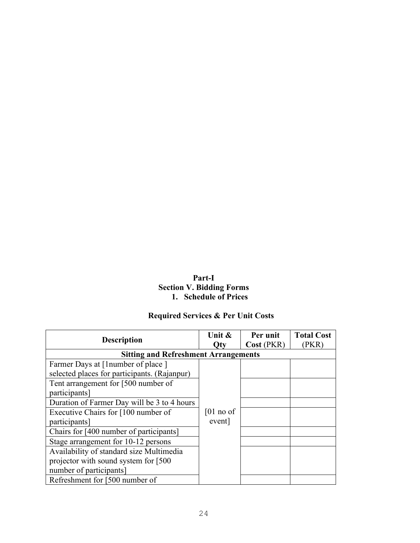#### **Part-I Section V. Bidding Forms 1. Schedule of Prices**

### **Required Services & Per Unit Costs**

| <b>Description</b>                           | Unit $\&$<br>Otv | Per unit<br>Cost (PKR) | <b>Total Cost</b><br>(PKR) |
|----------------------------------------------|------------------|------------------------|----------------------------|
| <b>Sitting and Refreshment Arrangements</b>  |                  |                        |                            |
| Farmer Days at [1 number of place]           |                  |                        |                            |
| selected places for participants. (Rajanpur) |                  |                        |                            |
| Tent arrangement for [500 number of          |                  |                        |                            |
| participants]                                |                  |                        |                            |
| Duration of Farmer Day will be 3 to 4 hours  |                  |                        |                            |
| Executive Chairs for [100 number of          | $[01$ no of      |                        |                            |
| participants]                                | event]           |                        |                            |
| Chairs for [400 number of participants]      |                  |                        |                            |
| Stage arrangement for 10-12 persons          |                  |                        |                            |
| Availability of standard size Multimedia     |                  |                        |                            |
| projector with sound system for [500]        |                  |                        |                            |
| number of participants]                      |                  |                        |                            |
| Refreshment for [500 number of               |                  |                        |                            |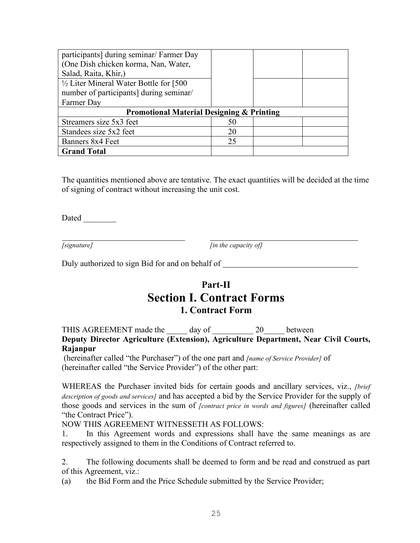| participants] during seminar/ Farmer Day             |    |  |  |
|------------------------------------------------------|----|--|--|
| (One Dish chicken korma, Nan, Water,                 |    |  |  |
| Salad, Raita, Khir,)                                 |    |  |  |
| $\frac{1}{2}$ Liter Mineral Water Bottle for [500]   |    |  |  |
| number of participants] during seminar/              |    |  |  |
| Farmer Day                                           |    |  |  |
| <b>Promotional Material Designing &amp; Printing</b> |    |  |  |
| Streamers size 5x3 feet                              | 50 |  |  |
| Standees size 5x2 feet                               | 20 |  |  |
| Banners 8x4 Feet                                     | 25 |  |  |
| <b>Grand Total</b>                                   |    |  |  |

The quantities mentioned above are tentative. The exact quantities will be decided at the time of signing of contract without increasing the unit cost.

Dated \_\_\_\_\_\_\_\_

*[signature] [in the capacity of]*

Duly authorized to sign Bid for and on behalf of \_\_\_\_\_\_\_\_\_\_\_\_\_\_\_\_\_\_\_\_\_\_\_\_\_\_\_\_\_\_\_

### **Part-II Section I. Contract Forms 1. Contract Form**

THIS AGREEMENT made the day of 20 between **Deputy Director Agriculture (Extension), Agriculture Department, Near Civil Courts, Rajanpur**

(hereinafter called "the Purchaser") of the one part and *[name of Service Provider]* of (hereinafter called "the Service Provider") of the other part:

WHEREAS the Purchaser invited bids for certain goods and ancillary services, viz., *[brief description of goods and services]* and has accepted a bid by the Service Provider for the supply of those goods and services in the sum of *[contract price in words and figures]* (hereinafter called "the Contract Price").

NOW THIS AGREEMENT WITNESSETH AS FOLLOWS:

1. In this Agreement words and expressions shall have the same meanings as are respectively assigned to them in the Conditions of Contract referred to.

2. The following documents shall be deemed to form and be read and construed as part of this Agreement, viz.:

(a) the Bid Form and the Price Schedule submitted by the Service Provider;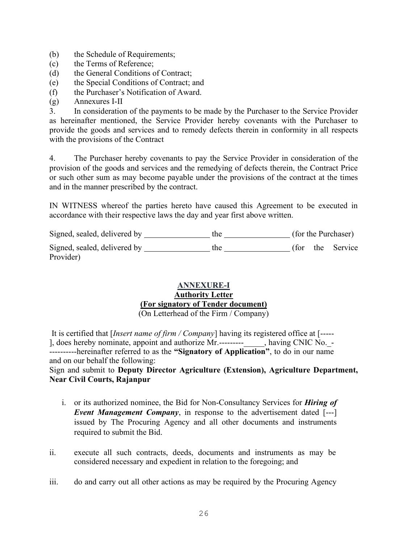- (b) the Schedule of Requirements;
- (c) the Terms of Reference;
- (d) the General Conditions of Contract;
- (e) the Special Conditions of Contract; and
- (f) the Purchaser's Notification of Award.
- (g) Annexures I-II

3. In consideration of the payments to be made by the Purchaser to the Service Provider as hereinafter mentioned, the Service Provider hereby covenants with the Purchaser to provide the goods and services and to remedy defects therein in conformity in all respects with the provisions of the Contract

4. The Purchaser hereby covenants to pay the Service Provider in consideration of the provision of the goods and services and the remedying of defects therein, the Contract Price or such other sum as may become payable under the provisions of the contract at the times and in the manner prescribed by the contract.

IN WITNESS whereof the parties hereto have caused this Agreement to be executed in accordance with their respective laws the day and year first above written.

| Signed, sealed, delivered by | the |      | (for the Purchaser) |
|------------------------------|-----|------|---------------------|
| Signed, sealed, delivered by | the | tor) | the Service         |
| Provider)                    |     |      |                     |

#### **ANNEXURE-I Authority Letter (For signatory of Tender document)**

(On Letterhead of the Firm / Company)

It is certified that [*Insert name of firm / Company*] having its registered office at [----- ], does hereby nominate, appoint and authorize Mr.--------- , having CNIC No. -----------hereinafter referred to as the **"Signatory of Application"**, to do in our name and on our behalf the following:

#### Sign and submit to **Deputy Director Agriculture (Extension), Agriculture Department, Near Civil Courts, Rajanpur**

- i. or its authorized nominee, the Bid for Non-Consultancy Services for *Hiring of Event Management Company*, in response to the advertisement dated [---] issued by The Procuring Agency and all other documents and instruments required to submit the Bid.
- ii. execute all such contracts, deeds, documents and instruments as may be considered necessary and expedient in relation to the foregoing; and
- iii. do and carry out all other actions as may be required by the Procuring Agency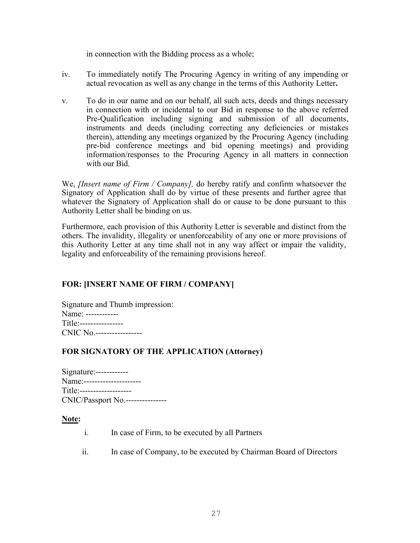in connection with the Bidding process as a whole;

- iv. To immediately notify The Procuring Agency in writing of any impending or actual revocation as well as any change in the terms of this Authority Letter**.**
- v. To do in our name and on our behalf, all such acts, deeds and things necessary in connection with or incidental to our Bid in response to the above referred Pre-Qualification including signing and submission of all documents, instruments and deeds (including correcting any deficiencies or mistakes therein), attending any meetings organized by the Procuring Agency (including pre-bid conference meetings and bid opening meetings) and providing information/responses to the Procuring Agency in all matters in connection with our Bid.

We, *[Insert name of Firm / Company],* do hereby ratify and confirm whatsoever the Signatory of Application shall do by virtue of these presents and further agree that whatever the Signatory of Application shall do or cause to be done pursuant to this Authority Letter shall be binding on us.

Furthermore, each provision of this Authority Letter is severable and distinct from the others. The invalidity, illegality or unenforceability of any one or more provisions of this Authority Letter at any time shall not in any way affect or impair the validity, legality and enforceability of the remaining provisions hereof.

#### **FOR: [INSERT NAME OF FIRM / COMPANY]**

Signature and Thumb impression: Name: ------------ Title:---------------- CNIC No.-----------------

#### **FOR SIGNATORY OF THE APPLICATION (Attorney)**

| Name:----------------------      |  |
|----------------------------------|--|
| Title:-------------------        |  |
| CNIC/Passport No.--------------- |  |

#### **Note:**

- i. In case of Firm, to be executed by all Partners
- ii. In case of Company, to be executed by Chairman Board of Directors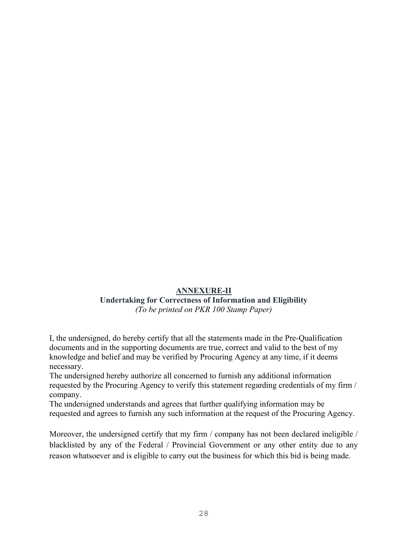### **ANNEXURE-II**

#### **Undertaking for Correctness of Information and Eligibility** *(To be printed on PKR 100 Stamp Paper)*

I, the undersigned, do hereby certify that all the statements made in the Pre-Qualification documents and in the supporting documents are true, correct and valid to the best of my knowledge and belief and may be verified by Procuring Agency at any time, if it deems necessary.

The undersigned hereby authorize all concerned to furnish any additional information requested by the Procuring Agency to verify this statement regarding credentials of my firm / company.

The undersigned understands and agrees that further qualifying information may be requested and agrees to furnish any such information at the request of the Procuring Agency.

Moreover, the undersigned certify that my firm / company has not been declared ineligible / blacklisted by any of the Federal / Provincial Government or any other entity due to any reason whatsoever and is eligible to carry out the business for which this bid is being made.